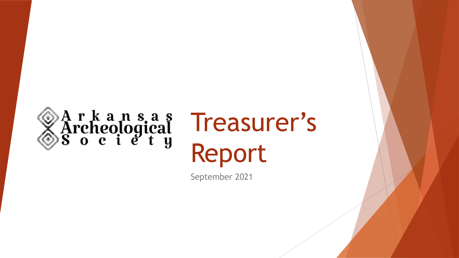

# Treasurer's Report

September 2021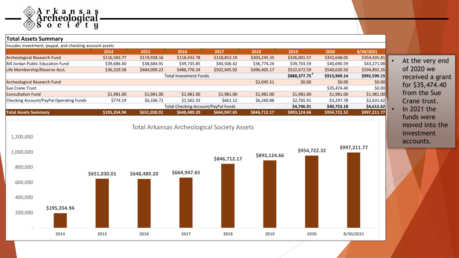

#### **Total Assets Summary**  Incudes investment, paypal, and checking account assets **2014 2015 2016 2017 2018 2019 2020 8/30/2021** Archeological Research Fund **\$200 \$2116,583.77** \$119,928.16 \$118,433.78 \$118,853.19 \$303,245.35 \$326,001.57 \$332,648.05 \$354,435.81 Bill Jordan Public Education Fund \$39,686.40 \$38,684.91 \$39,735.85 \$40,506.42 \$36,774.26 \$39,703.59 \$40,690.59 \$43,271.08 Life Membership/Reserve Acct. \$36,329.58 \$484,099.22 \$486,776.24 \$502,945.92 \$496,405.17 \$522,672.59 \$540,630.50 \$594,892.26 Total Investment Funds **\$888,377.75 \$913,969.14 \$992,599.15** Archeological Research Fund \$0.00 \$0.00 \$0.00 \$0.00 \$0.00 \$0.00 \$0.00 \$0.00 \$0.00 \$0.00 \$0.00 \$0.00 Sue Crane Trust \$35,474.40 \$0.00 \$0.00 \$0.00 \$0.00 \$1.00 \$1.00 \$1.00 \$1.00 \$1.00 \$1.00 \$1.00 \$1.00 \$1.00 \$1.00 Consultation Fund \$1,981.00 \$1,981.00 \$1,981.00 \$1,981.00 \$1,981.00 \$1,981.00 \$1,981.00 \$1,981.00 Checking Account/PayPal Operating Funds \$774.19 \$6,336.72 \$1,562.33 \$661.12 \$6,260.88 \$2,765.91 \$3,297.78 \$2,631.62 Total Checking Account/PayPal Funds **\$4,746.91 \$40,753.18 \$4,612.62 Total Assets Summary \$195,354.94 \$651,030.01 \$648,489.20 \$664,947.65 \$846,712.17 \$893,124.66 \$954,722.32 \$997,211.77 \$195,354.94 \$651,030.01 \$648,489.20 \$664,947.65 \$846,712.17 \$893,124.66 \$954,722.32 \$997,211.77** - 200,000 400,000 600,000 800,000 1,000,000 1,200,000 **2014 2015 2016 2017 2018 2019 2020 8/30/2021** Total Arkansas Archeological Society Assets

At the very end of 2020 we received a grant for \$35,474.40 from the Sue Crane trust. • In 2021 the funds were moved into the investment accounts.